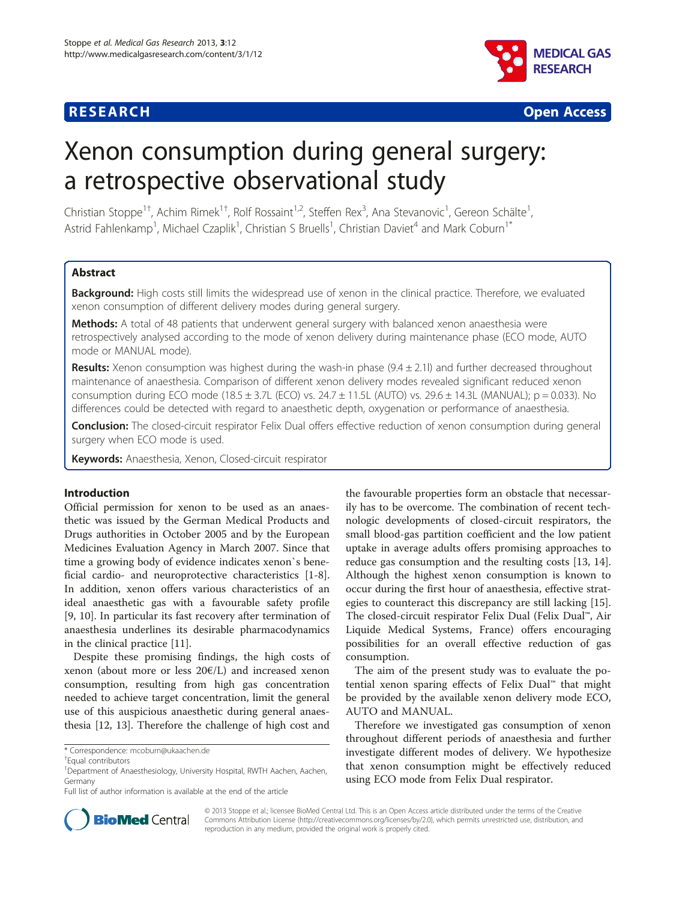## **RESEARCH CHEAR CHEAR CHEAR CHEAR CHEAR CHEAR CHEAR CHEAR CHEAR CHEAR CHEAR CHEAR CHEAR CHEAR CHEAR CHEAR CHEAR**



# Xenon consumption during general surgery: a retrospective observational study

Christian Stoppe<sup>1†</sup>, Achim Rimek<sup>1†</sup>, Rolf Rossaint<sup>1,2</sup>, Steffen Rex<sup>3</sup>, Ana Stevanovic<sup>1</sup>, Gereon Schälte<sup>1</sup> , Astrid Fahlenkamp<sup>1</sup>, Michael Czaplik<sup>1</sup>, Christian S Bruells<sup>1</sup>, Christian Daviet<sup>4</sup> and Mark Coburn<sup>1\*</sup>

## Abstract

Background: High costs still limits the widespread use of xenon in the clinical practice. Therefore, we evaluated xenon consumption of different delivery modes during general surgery.

Methods: A total of 48 patients that underwent general surgery with balanced xenon anaesthesia were retrospectively analysed according to the mode of xenon delivery during maintenance phase (ECO mode, AUTO mode or MANUAL mode).

**Results:** Xenon consumption was highest during the wash-in phase  $(9.4 \pm 2.1)$  and further decreased throughout maintenance of anaesthesia. Comparison of different xenon delivery modes revealed significant reduced xenon consumption during ECO mode (18.5  $\pm$  3.7L (ECO) vs. 24.7  $\pm$  11.5L (AUTO) vs. 29.6  $\pm$  14.3L (MANUAL); p = 0.033). No differences could be detected with regard to anaesthetic depth, oxygenation or performance of anaesthesia.

Conclusion: The closed-circuit respirator Felix Dual offers effective reduction of xenon consumption during general surgery when ECO mode is used.

Keywords: Anaesthesia, Xenon, Closed-circuit respirator

## Introduction

Official permission for xenon to be used as an anaesthetic was issued by the German Medical Products and Drugs authorities in October 2005 and by the European Medicines Evaluation Agency in March 2007. Since that time a growing body of evidence indicates xenon`s beneficial cardio- and neuroprotective characteristics [[1-8](#page-9-0)]. In addition, xenon offers various characteristics of an ideal anaesthetic gas with a favourable safety profile [[9, 10\]](#page-9-0). In particular its fast recovery after termination of anaesthesia underlines its desirable pharmacodynamics in the clinical practice [[11](#page-9-0)].

Despite these promising findings, the high costs of xenon (about more or less 20€/L) and increased xenon consumption, resulting from high gas concentration needed to achieve target concentration, limit the general use of this auspicious anaesthetic during general anaesthesia [[12, 13](#page-9-0)]. Therefore the challenge of high cost and

the favourable properties form an obstacle that necessarily has to be overcome. The combination of recent technologic developments of closed-circuit respirators, the small blood-gas partition coefficient and the low patient uptake in average adults offers promising approaches to reduce gas consumption and the resulting costs [\[13](#page-9-0), [14](#page-9-0)]. Although the highest xenon consumption is known to occur during the first hour of anaesthesia, effective strategies to counteract this discrepancy are still lacking [\[15](#page-9-0)]. The closed-circuit respirator Felix Dual (Felix Dual™, Air Liquide Medical Systems, France) offers encouraging possibilities for an overall effective reduction of gas consumption.

The aim of the present study was to evaluate the potential xenon sparing effects of Felix Dual™ that might be provided by the available xenon delivery mode ECO, AUTO and MANUAL.

Therefore we investigated gas consumption of xenon throughout different periods of anaesthesia and further investigate different modes of delivery. We hypothesize that xenon consumption might be effectively reduced using ECO mode from Felix Dual respirator.



© 2013 Stoppe et al.; licensee BioMed Central Ltd. This is an Open Access article distributed under the terms of the Creative Commons Attribution License [\(http://creativecommons.org/licenses/by/2.0\)](http://creativecommons.org/licenses/by/2.0), which permits unrestricted use, distribution, and reproduction in any medium, provided the original work is properly cited.

<sup>\*</sup> Correspondence: [mcoburn@ukaachen.de](mailto:mcoburn@ukaachen.de) †

Equal contributors

<sup>&</sup>lt;sup>1</sup>Department of Anaesthesiology, University Hospital, RWTH Aachen, Aachen, Germany

Full list of author information is available at the end of the article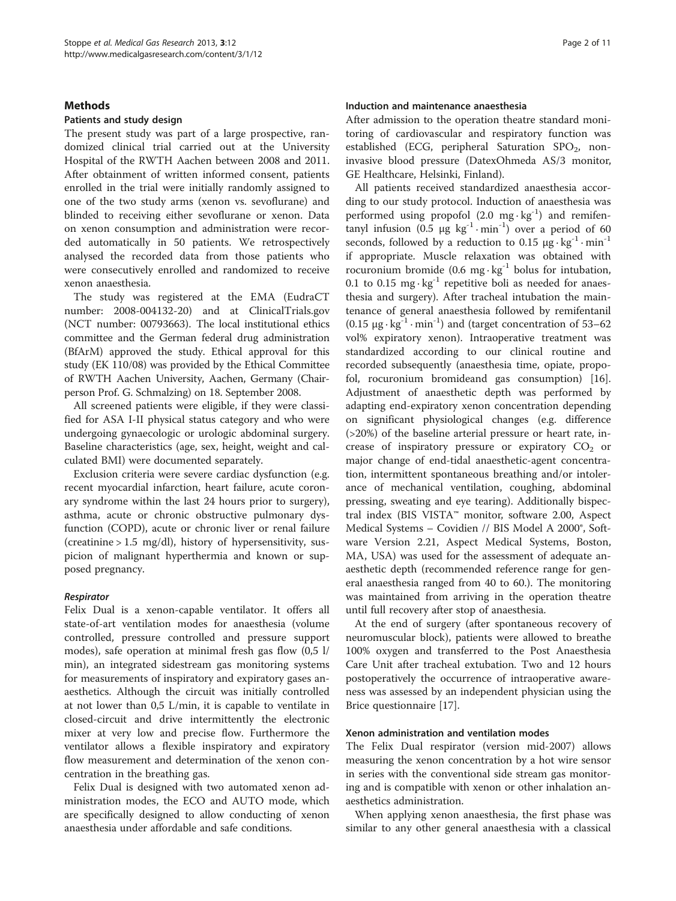## **Methods**

#### Patients and study design

The present study was part of a large prospective, randomized clinical trial carried out at the University Hospital of the RWTH Aachen between 2008 and 2011. After obtainment of written informed consent, patients enrolled in the trial were initially randomly assigned to one of the two study arms (xenon vs. sevoflurane) and blinded to receiving either sevoflurane or xenon. Data on xenon consumption and administration were recorded automatically in 50 patients. We retrospectively analysed the recorded data from those patients who were consecutively enrolled and randomized to receive xenon anaesthesia.

The study was registered at the EMA (EudraCT number: 2008-004132-20) and at ClinicalTrials.gov (NCT number: 00793663). The local institutional ethics committee and the German federal drug administration (BfArM) approved the study. Ethical approval for this study (EK 110/08) was provided by the Ethical Committee of RWTH Aachen University, Aachen, Germany (Chairperson Prof. G. Schmalzing) on 18. September 2008.

All screened patients were eligible, if they were classified for ASA I-II physical status category and who were undergoing gynaecologic or urologic abdominal surgery. Baseline characteristics (age, sex, height, weight and calculated BMI) were documented separately.

Exclusion criteria were severe cardiac dysfunction (e.g. recent myocardial infarction, heart failure, acute coronary syndrome within the last 24 hours prior to surgery), asthma, acute or chronic obstructive pulmonary dysfunction (COPD), acute or chronic liver or renal failure (creatinine  $> 1.5$  mg/dl), history of hypersensitivity, suspicion of malignant hyperthermia and known or supposed pregnancy.

### Respirator

Felix Dual is a xenon-capable ventilator. It offers all state-of-art ventilation modes for anaesthesia (volume controlled, pressure controlled and pressure support modes), safe operation at minimal fresh gas flow (0,5 l/ min), an integrated sidestream gas monitoring systems for measurements of inspiratory and expiratory gases anaesthetics. Although the circuit was initially controlled at not lower than 0,5 L/min, it is capable to ventilate in closed-circuit and drive intermittently the electronic mixer at very low and precise flow. Furthermore the ventilator allows a flexible inspiratory and expiratory flow measurement and determination of the xenon concentration in the breathing gas.

Felix Dual is designed with two automated xenon administration modes, the ECO and AUTO mode, which are specifically designed to allow conducting of xenon anaesthesia under affordable and safe conditions.

#### Induction and maintenance anaesthesia

After admission to the operation theatre standard monitoring of cardiovascular and respiratory function was established (ECG, peripheral Saturation  $SPO<sub>2</sub>$ , noninvasive blood pressure (DatexOhmeda AS/3 monitor, GE Healthcare, Helsinki, Finland).

All patients received standardized anaesthesia according to our study protocol. Induction of anaesthesia was performed using propofol  $(2.0 \text{ mg} \cdot \text{kg}^{-1})$  and remifentanyl infusion (0.5 μg kg<sup>-1</sup>·min<sup>-1</sup>) over a period of 60 seconds, followed by a reduction to 0.15  $\mu$ g · kg<sup>-1</sup> · min<sup>-1</sup> if appropriate. Muscle relaxation was obtained with rocuronium bromide (0.6 mg $\cdot$  kg<sup>-1</sup> bolus for intubation, 0.1 to 0.15 mg $\cdot$ kg<sup>-1</sup> repetitive boli as needed for anaesthesia and surgery). After tracheal intubation the maintenance of general anaesthesia followed by remifentanil (0.15  $\mu$ g · kg<sup>-1</sup> · min<sup>-1</sup>) and (target concentration of 53–62 vol% expiratory xenon). Intraoperative treatment was standardized according to our clinical routine and recorded subsequently (anaesthesia time, opiate, propofol, rocuronium bromideand gas consumption) [\[16](#page-9-0)]. Adjustment of anaesthetic depth was performed by adapting end-expiratory xenon concentration depending on significant physiological changes (e.g. difference (>20%) of the baseline arterial pressure or heart rate, increase of inspiratory pressure or expiratory  $CO<sub>2</sub>$  or major change of end-tidal anaesthetic-agent concentration, intermittent spontaneous breathing and/or intolerance of mechanical ventilation, coughing, abdominal pressing, sweating and eye tearing). Additionally bispectral index (BIS VISTA™ monitor, software 2.00, Aspect Medical Systems – Covidien // BIS Model A 2000®, Software Version 2.21, Aspect Medical Systems, Boston, MA, USA) was used for the assessment of adequate anaesthetic depth (recommended reference range for general anaesthesia ranged from 40 to 60.). The monitoring was maintained from arriving in the operation theatre until full recovery after stop of anaesthesia.

At the end of surgery (after spontaneous recovery of neuromuscular block), patients were allowed to breathe 100% oxygen and transferred to the Post Anaesthesia Care Unit after tracheal extubation. Two and 12 hours postoperatively the occurrence of intraoperative awareness was assessed by an independent physician using the Brice questionnaire [\[17\]](#page-9-0).

## Xenon administration and ventilation modes

The Felix Dual respirator (version mid-2007) allows measuring the xenon concentration by a hot wire sensor in series with the conventional side stream gas monitoring and is compatible with xenon or other inhalation anaesthetics administration.

When applying xenon anaesthesia, the first phase was similar to any other general anaesthesia with a classical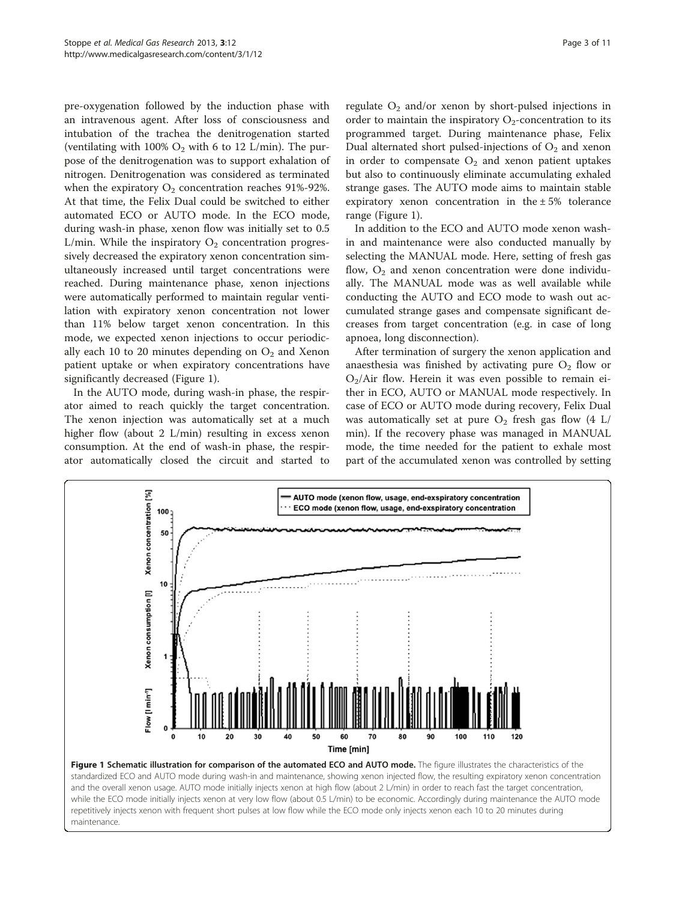pre-oxygenation followed by the induction phase with an intravenous agent. After loss of consciousness and intubation of the trachea the denitrogenation started (ventilating with 100%  $O_2$  with 6 to 12 L/min). The purpose of the denitrogenation was to support exhalation of nitrogen. Denitrogenation was considered as terminated when the expiratory  $O_2$  concentration reaches 91%-92%. At that time, the Felix Dual could be switched to either automated ECO or AUTO mode. In the ECO mode, during wash-in phase, xenon flow was initially set to 0.5 L/min. While the inspiratory  $O_2$  concentration progressively decreased the expiratory xenon concentration simultaneously increased until target concentrations were reached. During maintenance phase, xenon injections were automatically performed to maintain regular ventilation with expiratory xenon concentration not lower than 11% below target xenon concentration. In this mode, we expected xenon injections to occur periodically each 10 to 20 minutes depending on  $O_2$  and Xenon patient uptake or when expiratory concentrations have significantly decreased (Figure 1).

In the AUTO mode, during wash-in phase, the respirator aimed to reach quickly the target concentration. The xenon injection was automatically set at a much higher flow (about 2 L/min) resulting in excess xenon consumption. At the end of wash-in phase, the respirator automatically closed the circuit and started to

regulate  $O_2$  and/or xenon by short-pulsed injections in order to maintain the inspiratory  $O_2$ -concentration to its programmed target. During maintenance phase, Felix Dual alternated short pulsed-injections of  $O<sub>2</sub>$  and xenon in order to compensate  $O_2$  and xenon patient uptakes but also to continuously eliminate accumulating exhaled strange gases. The AUTO mode aims to maintain stable expiratory xenon concentration in the  $\pm 5\%$  tolerance range (Figure 1).

In addition to the ECO and AUTO mode xenon washin and maintenance were also conducted manually by selecting the MANUAL mode. Here, setting of fresh gas flow,  $O_2$  and xenon concentration were done individually. The MANUAL mode was as well available while conducting the AUTO and ECO mode to wash out accumulated strange gases and compensate significant decreases from target concentration (e.g. in case of long apnoea, long disconnection).

After termination of surgery the xenon application and anaesthesia was finished by activating pure  $O_2$  flow or  $O<sub>2</sub>/Air$  flow. Herein it was even possible to remain either in ECO, AUTO or MANUAL mode respectively. In case of ECO or AUTO mode during recovery, Felix Dual was automatically set at pure  $O_2$  fresh gas flow (4 L/ min). If the recovery phase was managed in MANUAL mode, the time needed for the patient to exhale most part of the accumulated xenon was controlled by setting



and the overall xenon usage. AUTO mode initially injects xenon at high flow (about 2 L/min) in order to reach fast the target concentration, while the ECO mode initially injects xenon at very low flow (about 0.5 L/min) to be economic. Accordingly during maintenance the AUTO mode repetitively injects xenon with frequent short pulses at low flow while the ECO mode only injects xenon each 10 to 20 minutes during maintenance.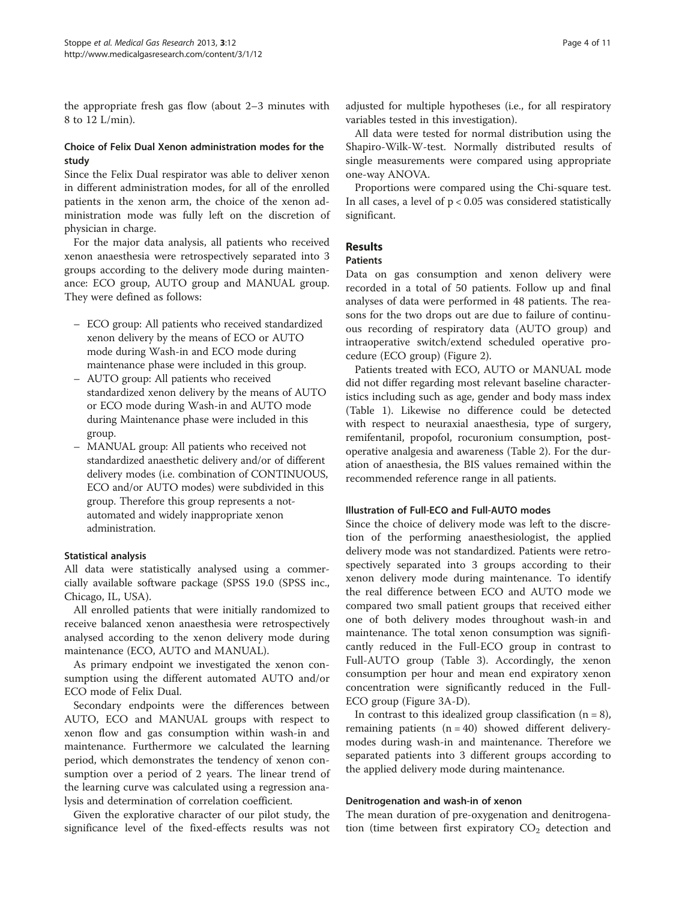the appropriate fresh gas flow (about 2–3 minutes with 8 to 12 L/min).

## Choice of Felix Dual Xenon administration modes for the study

Since the Felix Dual respirator was able to deliver xenon in different administration modes, for all of the enrolled patients in the xenon arm, the choice of the xenon administration mode was fully left on the discretion of physician in charge.

For the major data analysis, all patients who received xenon anaesthesia were retrospectively separated into 3 groups according to the delivery mode during maintenance: ECO group, AUTO group and MANUAL group. They were defined as follows:

- ECO group: All patients who received standardized xenon delivery by the means of ECO or AUTO mode during Wash-in and ECO mode during maintenance phase were included in this group.
- AUTO group: All patients who received standardized xenon delivery by the means of AUTO or ECO mode during Wash-in and AUTO mode during Maintenance phase were included in this group.
- MANUAL group: All patients who received not standardized anaesthetic delivery and/or of different delivery modes (i.e. combination of CONTINUOUS, ECO and/or AUTO modes) were subdivided in this group. Therefore this group represents a notautomated and widely inappropriate xenon administration.

## Statistical analysis

All data were statistically analysed using a commercially available software package (SPSS 19.0 (SPSS inc., Chicago, IL, USA).

All enrolled patients that were initially randomized to receive balanced xenon anaesthesia were retrospectively analysed according to the xenon delivery mode during maintenance (ECO, AUTO and MANUAL).

As primary endpoint we investigated the xenon consumption using the different automated AUTO and/or ECO mode of Felix Dual.

Secondary endpoints were the differences between AUTO, ECO and MANUAL groups with respect to xenon flow and gas consumption within wash-in and maintenance. Furthermore we calculated the learning period, which demonstrates the tendency of xenon consumption over a period of 2 years. The linear trend of the learning curve was calculated using a regression analysis and determination of correlation coefficient.

Given the explorative character of our pilot study, the significance level of the fixed-effects results was not

adjusted for multiple hypotheses (i.e., for all respiratory variables tested in this investigation).

All data were tested for normal distribution using the Shapiro-Wilk-W-test. Normally distributed results of single measurements were compared using appropriate one-way ANOVA.

Proportions were compared using the Chi-square test. In all cases, a level of  $p < 0.05$  was considered statistically significant.

## Results

## Patients

Data on gas consumption and xenon delivery were recorded in a total of 50 patients. Follow up and final analyses of data were performed in 48 patients. The reasons for the two drops out are due to failure of continuous recording of respiratory data (AUTO group) and intraoperative switch/extend scheduled operative procedure (ECO group) (Figure [2\)](#page-4-0).

Patients treated with ECO, AUTO or MANUAL mode did not differ regarding most relevant baseline characteristics including such as age, gender and body mass index (Table [1\)](#page-4-0). Likewise no difference could be detected with respect to neuraxial anaesthesia, type of surgery, remifentanil, propofol, rocuronium consumption, postoperative analgesia and awareness (Table [2\)](#page-5-0). For the duration of anaesthesia, the BIS values remained within the recommended reference range in all patients.

## Illustration of Full-ECO and Full-AUTO modes

Since the choice of delivery mode was left to the discretion of the performing anaesthesiologist, the applied delivery mode was not standardized. Patients were retrospectively separated into 3 groups according to their xenon delivery mode during maintenance. To identify the real difference between ECO and AUTO mode we compared two small patient groups that received either one of both delivery modes throughout wash-in and maintenance. The total xenon consumption was significantly reduced in the Full-ECO group in contrast to Full-AUTO group (Table [3](#page-5-0)). Accordingly, the xenon consumption per hour and mean end expiratory xenon concentration were significantly reduced in the Full-ECO group (Figure [3](#page-6-0)A-D).

In contrast to this idealized group classification  $(n = 8)$ , remaining patients  $(n = 40)$  showed different deliverymodes during wash-in and maintenance. Therefore we separated patients into 3 different groups according to the applied delivery mode during maintenance.

## Denitrogenation and wash-in of xenon

The mean duration of pre-oxygenation and denitrogenation (time between first expiratory  $CO<sub>2</sub>$  detection and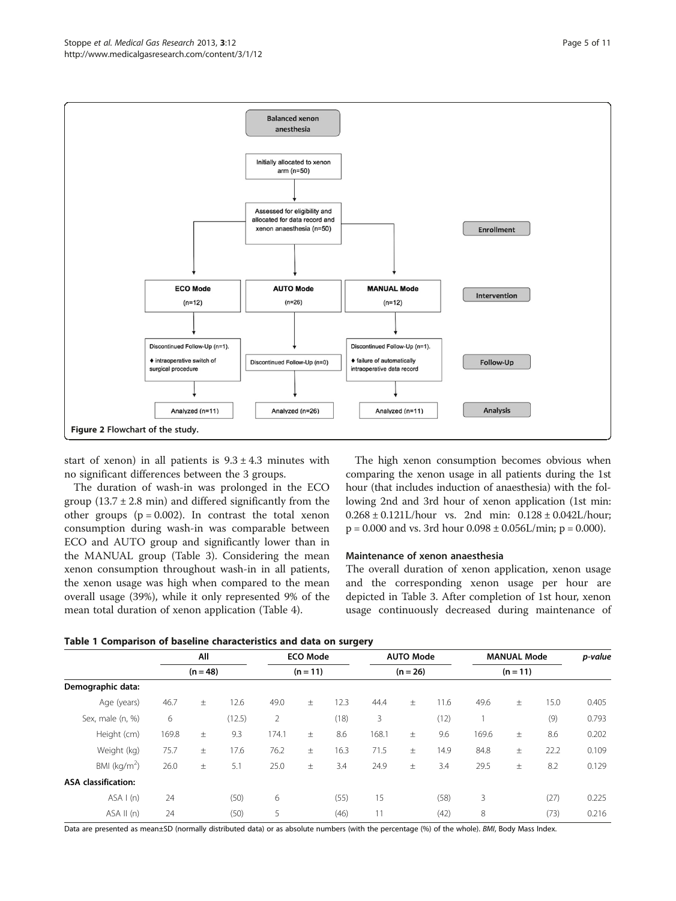<span id="page-4-0"></span>

start of xenon) in all patients is  $9.3 \pm 4.3$  minutes with no significant differences between the 3 groups.

The duration of wash-in was prolonged in the ECO group  $(13.7 \pm 2.8 \text{ min})$  and differed significantly from the other groups  $(p = 0.002)$ . In contrast the total xenon consumption during wash-in was comparable between ECO and AUTO group and significantly lower than in the MANUAL group (Table [3](#page-5-0)). Considering the mean xenon consumption throughout wash-in in all patients, the xenon usage was high when compared to the mean overall usage (39%), while it only represented 9% of the mean total duration of xenon application (Table [4](#page-7-0)).

The high xenon consumption becomes obvious when comparing the xenon usage in all patients during the 1st hour (that includes induction of anaesthesia) with the following 2nd and 3rd hour of xenon application (1st min:  $0.268 \pm 0.121$ L/hour vs. 2nd min:  $0.128 \pm 0.042$ L/hour;  $p = 0.000$  and vs. 3rd hour  $0.098 \pm 0.056$ L/min;  $p = 0.000$ ).

#### Maintenance of xenon anaesthesia

The overall duration of xenon application, xenon usage and the corresponding xenon usage per hour are depicted in Table [3.](#page-5-0) After completion of 1st hour, xenon usage continuously decreased during maintenance of

|                            | All<br>$(n = 48)$ |       |        | <b>ECO Mode</b><br>$(n = 11)$ |       |      |       | <b>AUTO Mode</b> |      | <b>MANUAL Mode</b> | p-value |      |       |
|----------------------------|-------------------|-------|--------|-------------------------------|-------|------|-------|------------------|------|--------------------|---------|------|-------|
|                            |                   |       |        |                               |       |      |       | $(n = 26)$       |      | $(n = 11)$         |         |      |       |
| Demographic data:          |                   |       |        |                               |       |      |       |                  |      |                    |         |      |       |
| Age (years)                | 46.7              | 土     | 12.6   | 49.0                          | $\pm$ | 12.3 | 44.4  | $\pm$            | 11.6 | 49.6               | $\pm$   | 15.0 | 0.405 |
| Sex, male (n, %)           | 6                 |       | (12.5) | $\overline{2}$                |       | (18) | 3     |                  | (12) |                    |         | (9)  | 0.793 |
| Height (cm)                | 169.8             | $\pm$ | 9.3    | 174.1                         | $\pm$ | 8.6  | 168.1 | $\pm$            | 9.6  | 169.6              | $\pm$   | 8.6  | 0.202 |
| Weight (kg)                | 75.7              | $\pm$ | 17.6   | 76.2                          | $\pm$ | 16.3 | 71.5  | $\pm$            | 14.9 | 84.8               | 土       | 22.2 | 0.109 |
| BMI ( $kg/m2$ )            | 26.0              | $\pm$ | 5.1    | 25.0                          | $\pm$ | 3.4  | 24.9  | $\pm$            | 3.4  | 29.5               | $\pm$   | 8.2  | 0.129 |
| <b>ASA classification:</b> |                   |       |        |                               |       |      |       |                  |      |                    |         |      |       |
| ASA I(n)                   | 24                |       | (50)   | 6                             |       | (55) | 15    |                  | (58) | 3                  |         | (27) | 0.225 |
| ASA II(n)                  | 24                |       | (50)   | 5                             |       | (46) | 11    |                  | (42) | 8                  |         | (73) | 0.216 |

Data are presented as mean±SD (normally distributed data) or as absolute numbers (with the percentage (%) of the whole). BMI, Body Mass Index.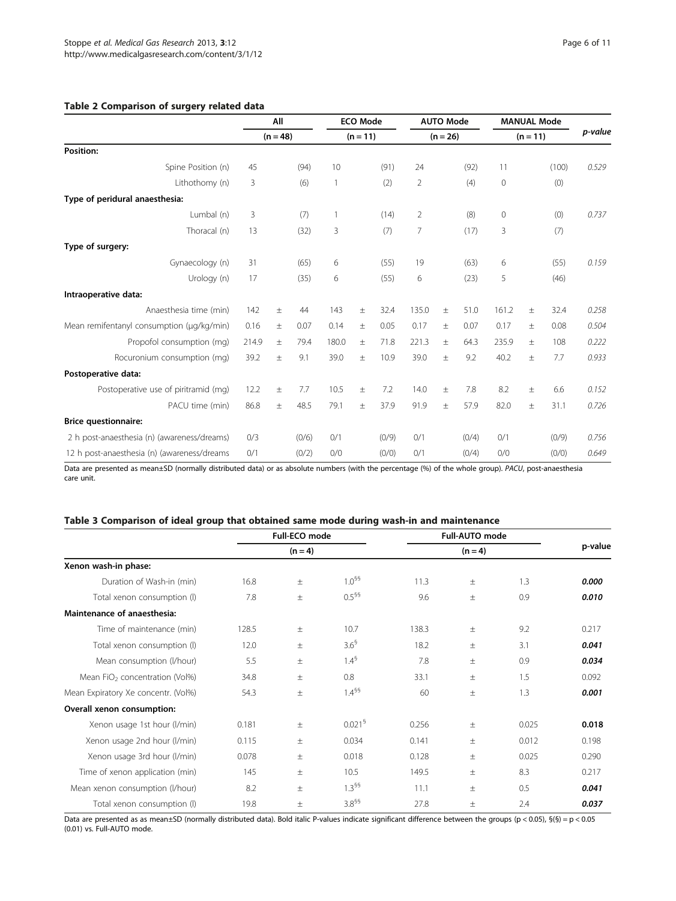## <span id="page-5-0"></span>Table 2 Comparison of surgery related data

|                                             | All<br>$(n = 48)$ |                   |       | <b>ECO Mode</b> |            |       |                | <b>AUTO Mode</b> |       | <b>MANUAL Mode</b> |            |       | p-value |
|---------------------------------------------|-------------------|-------------------|-------|-----------------|------------|-------|----------------|------------------|-------|--------------------|------------|-------|---------|
|                                             |                   |                   |       |                 | $(n = 11)$ |       |                | $(n = 26)$       |       |                    | $(n = 11)$ |       |         |
| Position:                                   |                   |                   |       |                 |            |       |                |                  |       |                    |            |       |         |
| Spine Position (n)                          | 45                |                   | (94)  | 10              |            | (91)  | 24             |                  | (92)  | 11                 |            | (100) | 0.529   |
| Lithothomy (n)                              | 3                 |                   | (6)   | $\mathbf{1}$    |            | (2)   | $\overline{2}$ |                  | (4)   | $\mathbf 0$        |            | (0)   |         |
| Type of peridural anaesthesia:              |                   |                   |       |                 |            |       |                |                  |       |                    |            |       |         |
| Lumbal (n)                                  | $\overline{3}$    |                   | (7)   | $\mathbf{1}$    |            | (14)  | $\overline{2}$ |                  | (8)   | 0                  |            | (0)   | 0.737   |
| Thoracal (n)                                | 13                |                   | (32)  | 3               |            | (7)   | 7              |                  | (17)  | 3                  |            | (7)   |         |
| Type of surgery:                            |                   |                   |       |                 |            |       |                |                  |       |                    |            |       |         |
| Gynaecology (n)                             | 31                |                   | (65)  | 6               |            | (55)  | 19             |                  | (63)  | 6                  |            | (55)  | 0.159   |
| Urology (n)                                 | 17                |                   | (35)  | 6               |            | (55)  | 6              |                  | (23)  | 5                  |            | (46)  |         |
| Intraoperative data:                        |                   |                   |       |                 |            |       |                |                  |       |                    |            |       |         |
| Anaesthesia time (min)                      | 142               | $\pm$             | 44    | 143             | $\pm$      | 32.4  | 135.0          | $\pm$            | 51.0  | 161.2              | $\pm$      | 32.4  | 0.258   |
| Mean remifentanyl consumption (µg/kg/min)   | 0.16              | $\pm$             | 0.07  | 0.14            | $+$        | 0.05  | 0.17           | $\pm$            | 0.07  | 0.17               | $\pm$      | 0.08  | 0.504   |
| Propofol consumption (mg)                   | 214.9             | $\qquad \qquad +$ | 79.4  | 180.0           | $\pm$      | 71.8  | 221.3          | $\pm$            | 64.3  | 235.9              | $\pm$      | 108   | 0.222   |
| Rocuronium consumption (mg)                 | 39.2              | $\pm$             | 9.1   | 39.0            | $\pm$      | 10.9  | 39.0           | $\pm$            | 9.2   | 40.2               | $\pm$      | 7.7   | 0.933   |
| Postoperative data:                         |                   |                   |       |                 |            |       |                |                  |       |                    |            |       |         |
| Postoperative use of piritramid (mq)        | 12.2              | 土                 | 7.7   | 10.5            | $\pm$      | 7.2   | 14.0           | $\pm$            | 7.8   | 8.2                | $\pm$      | 6.6   | 0.152   |
| PACU time (min)                             | 86.8              | $\qquad \qquad +$ | 48.5  | 79.1            | $^{+}$     | 37.9  | 91.9           | $\pm$            | 57.9  | 82.0               | $^{+}$     | 31.1  | 0.726   |
| <b>Brice questionnaire:</b>                 |                   |                   |       |                 |            |       |                |                  |       |                    |            |       |         |
| 2 h post-anaesthesia (n) (awareness/dreams) | 0/3               |                   | (0/6) | 0/1             |            | (0/9) | 0/1            |                  | (0/4) | 0/1                |            | (0/9) | 0.756   |
| 12 h post-anaesthesia (n) (awareness/dreams | 0/1               |                   | (0/2) | 0/0             |            | (0/0) | 0/1            |                  | (0/4) | 0/0                |            | (0/0) | 0.649   |

Data are presented as mean±SD (normally distributed data) or as absolute numbers (with the percentage (%) of the whole group). PACU, post-anaesthesia care unit.

## Table 3 Comparison of ideal group that obtained same mode during wash-in and maintenance

|                                            |       | Full-ECO mode |                    | Full-AUTO mode | p-value |       |       |
|--------------------------------------------|-------|---------------|--------------------|----------------|---------|-------|-------|
|                                            |       | $(n = 4)$     |                    |                |         |       |       |
| Xenon wash-in phase:                       |       |               |                    |                |         |       |       |
| Duration of Wash-in (min)                  | 16.8  | $\pm$         | $1.0^{55}$         | 11.3           | $\pm$   | 1.3   | 0.000 |
| Total xenon consumption (I)                | 7.8   | $\pm$         | $0.5^{\$}\$        | 9.6            | $\pm$   | 0.9   | 0.010 |
| Maintenance of anaesthesia:                |       |               |                    |                |         |       |       |
| Time of maintenance (min)                  | 128.5 | $\pm$         | 10.7               | 138.3          | $\pm$   | 9.2   | 0.217 |
| Total xenon consumption (I)                | 12.0  | $\pm$         | $3.6^{5}$          | 18.2           | $\pm$   | 3.1   | 0.041 |
| Mean consumption (I/hour)                  | 5.5   | $\pm$         | $1.4^{6}$          | 7.8            | $\pm$   | 0.9   | 0.034 |
| Mean FiO <sub>2</sub> concentration (Vol%) | 34.8  | $\pm$         | 0.8                | 33.1           | $\pm$   | 1.5   | 0.092 |
| Mean Expiratory Xe concentr. (Vol%)        | 54.3  | $\pm$         | $1.4^{55}$         | 60             | $\pm$   | 1.3   | 0.001 |
| Overall xenon consumption:                 |       |               |                    |                |         |       |       |
| Xenon usage 1st hour (I/min)               | 0.181 | $\pm$         | 0.021 <sup>6</sup> | 0.256          | $\pm$   | 0.025 | 0.018 |
| Xenon usage 2nd hour (I/min)               | 0.115 | $\pm$         | 0.034              | 0.141          | $\pm$   | 0.012 | 0.198 |
| Xenon usage 3rd hour (I/min)               | 0.078 | $\pm$         | 0.018              | 0.128          | $\pm$   | 0.025 | 0.290 |
| Time of xenon application (min)            | 145   | $\pm$         | 10.5               | 149.5          | $\pm$   | 8.3   | 0.217 |
| Mean xenon consumption (I/hour)            | 8.2   | $\pm$         | $1.3^{55}$         | 11.1           | $\pm$   | 0.5   | 0.041 |
| Total xenon consumption (I)                | 19.8  | 土             | $3.8^{55}$         | 27.8           | $\pm$   | 2.4   | 0.037 |

Data are presented as as mean±SD (normally distributed data). Bold italic P-values indicate significant difference between the groups (p < 0.05),  $\S(5) = p < 0.05$ (0.01) vs. Full-AUTO mode.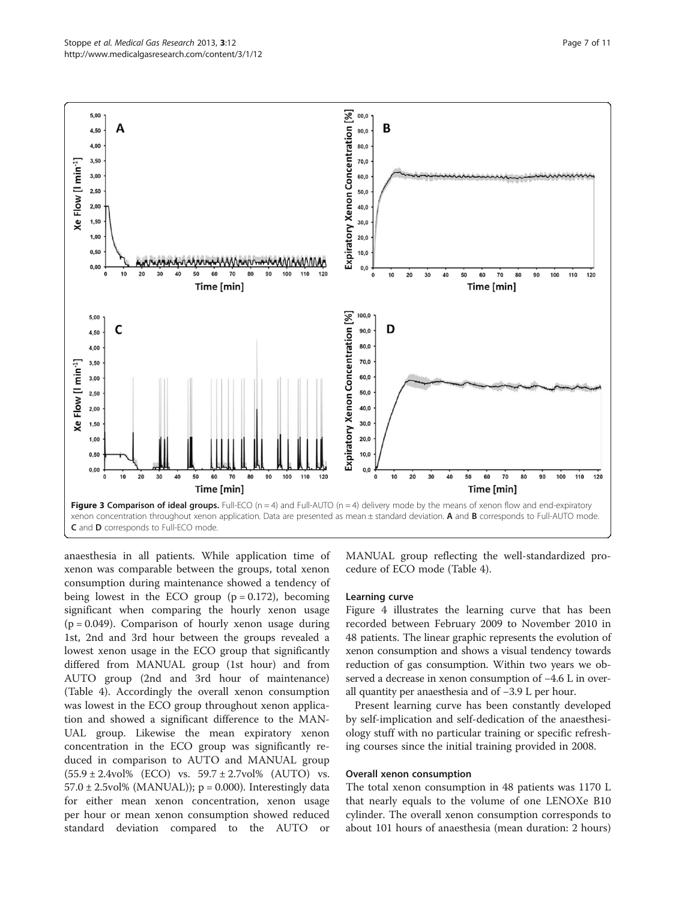<span id="page-6-0"></span>

anaesthesia in all patients. While application time of xenon was comparable between the groups, total xenon consumption during maintenance showed a tendency of being lowest in the ECO group  $(p = 0.172)$ , becoming significant when comparing the hourly xenon usage  $(p = 0.049)$ . Comparison of hourly xenon usage during 1st, 2nd and 3rd hour between the groups revealed a lowest xenon usage in the ECO group that significantly differed from MANUAL group (1st hour) and from AUTO group (2nd and 3rd hour of maintenance) (Table [4\)](#page-7-0). Accordingly the overall xenon consumption was lowest in the ECO group throughout xenon application and showed a significant difference to the MAN-UAL group. Likewise the mean expiratory xenon concentration in the ECO group was significantly reduced in comparison to AUTO and MANUAL group  $(55.9 \pm 2.4 \text{vol})\%$  (ECO) vs.  $59.7 \pm 2.7 \text{vol}\%$  (AUTO) vs.  $57.0 \pm 2.5$ vol% (MANUAL)); p = 0.000). Interestingly data for either mean xenon concentration, xenon usage per hour or mean xenon consumption showed reduced standard deviation compared to the AUTO or

MANUAL group reflecting the well-standardized procedure of ECO mode (Table [4\)](#page-7-0).

#### Learning curve

Figure [4](#page-7-0) illustrates the learning curve that has been recorded between February 2009 to November 2010 in 48 patients. The linear graphic represents the evolution of xenon consumption and shows a visual tendency towards reduction of gas consumption. Within two years we observed a decrease in xenon consumption of −4.6 L in overall quantity per anaesthesia and of −3.9 L per hour.

Present learning curve has been constantly developed by self-implication and self-dedication of the anaesthesiology stuff with no particular training or specific refreshing courses since the initial training provided in 2008.

#### Overall xenon consumption

The total xenon consumption in 48 patients was 1170 L that nearly equals to the volume of one LENOXe B10 cylinder. The overall xenon consumption corresponds to about 101 hours of anaesthesia (mean duration: 2 hours)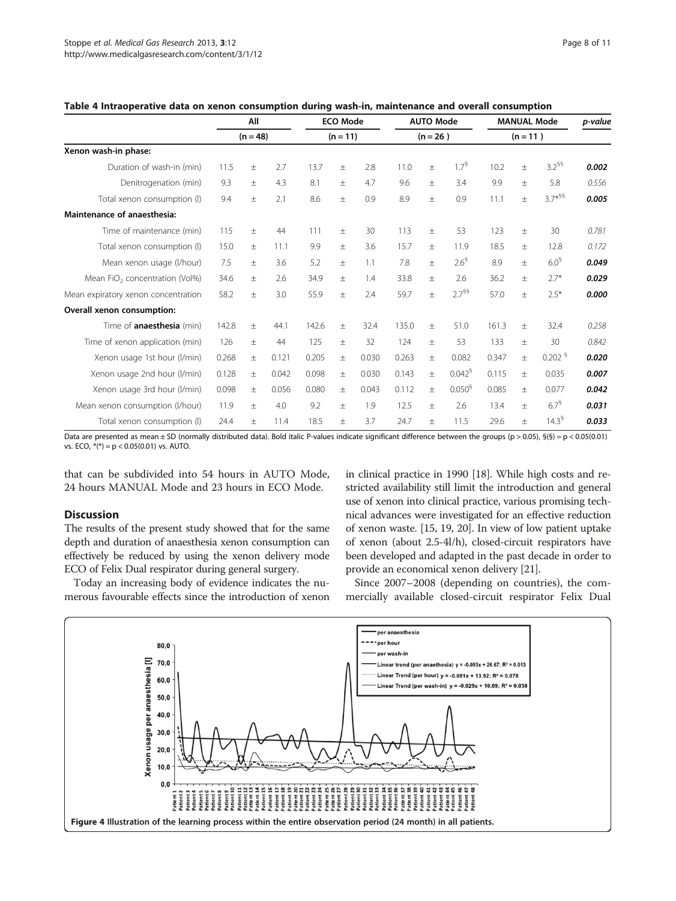|                                            |            | <b>ECO Mode</b><br>All |       |            |          |       | <b>AUTO Mode</b> | <b>MANUAL Mode</b> | p-value               |            |                   |                      |       |
|--------------------------------------------|------------|------------------------|-------|------------|----------|-------|------------------|--------------------|-----------------------|------------|-------------------|----------------------|-------|
|                                            | $(n = 48)$ |                        |       | $(n = 11)$ |          |       | $(n = 26)$       |                    |                       | $(n = 11)$ |                   |                      |       |
| Xenon wash-in phase:                       |            |                        |       |            |          |       |                  |                    |                       |            |                   |                      |       |
| Duration of wash-in (min)                  | 11.5       | $\pm$                  | 2.7   | 13.7       | $\pm$    | 2.8   | 11.0             | $\pm$              | $1.7^{5}$             | 10.2       | $\pm$             | $3.2^{66}$           | 0.002 |
| Denitrogenation (min)                      | 9.3        | $\pm$                  | 4.3   | 8.1        | $_{\pm}$ | 4.7   | 9.6              | $\pm$              | 3.4                   | 9.9        | $\pm$             | 5.8                  | 0.556 |
| Total xenon consumption (I)                | 9.4        | $\pm$                  | 2.1   | 8.6        | $\pm$    | 0.9   | 8.9              | $\pm$              | 0.9                   | 11.1       | $^{+}$            | $3.7*^{55}$          | 0.005 |
| Maintenance of anaesthesia:                |            |                        |       |            |          |       |                  |                    |                       |            |                   |                      |       |
| Time of maintenance (min)                  | 115        | 土                      | 44    | 111        | $_{\pm}$ | 30    | 113              | $\pm$              | 53                    | 123        | Ŧ                 | 30                   | 0.781 |
| Total xenon consumption (I)                | 15.0       | $\pm$                  | 11.1  | 9.9        | $\pm$    | 3.6   | 15.7             | $\pm$              | 11.9                  | 18.5       | $\pm$             | 12.8                 | 0.172 |
| Mean xenon usage (I/hour)                  | 7.5        | $\pm$                  | 3.6   | 5.2        | $_{\pm}$ | 1.1   | 7.8              | $\pm$              | $2.6^{5}$             | 8.9        | $\pm$             | 6.0 <sup>5</sup>     | 0.049 |
| Mean FiO <sub>2</sub> concentration (Vol%) | 34.6       | $\pm$                  | 2.6   | 34.9       | $\pm$    | 1.4   | 33.8             | $\pm$              | 2.6                   | 36.2       | $\qquad \qquad +$ | $2.7*$               | 0.029 |
| Mean expiratory xenon concentration        | 58.2       | $\pm$                  | 3.0   | 55.9       | $\pm$    | 2.4   | 59.7             | $\pm$              | $2.7^{55}$            | 57.0       | Ŧ                 | $2.5*$               | 0.000 |
| Overall xenon consumption:                 |            |                        |       |            |          |       |                  |                    |                       |            |                   |                      |       |
| Time of <b>anaesthesia</b> (min)           | 142.8      | $\pm$                  | 44.1  | 142.6      | $\pm$    | 32.4  | 135.0            | $\pm$              | 51.0                  | 161.3      | $\pm$             | 32.4                 | 0.258 |
| Time of xenon application (min)            | 126        | $\pm$                  | 44    | 125        | $\pm$    | 32    | 124              | $\pm$              | 53                    | 133        | $\pm$             | 30                   | 0.842 |
| Xenon usage 1st hour (I/min)               | 0.268      | $\pm$                  | 0.121 | 0.205      | $\pm$    | 0.030 | 0.263            | $\pm$              | 0.082                 | 0.347      | $\pm$             | $0.202$ <sup>§</sup> | 0.020 |
| Xenon usage 2nd hour (I/min)               | 0.128      | $\pm$                  | 0.042 | 0.098      | $\pm$    | 0.030 | 0.143            | $\pm$              | $0.042$ <sup>\$</sup> | 0.115      | Ŧ.                | 0.035                | 0.007 |
| Xenon usage 3rd hour (I/min)               | 0.098      | $\pm$                  | 0.056 | 0.080      | $\pm$    | 0.043 | 0.112            | $\pm$              | 0.050 <sup>9</sup>    | 0.085      | $\pm$             | 0.077                | 0.042 |
| Mean xenon consumption (I/hour)            | 11.9       | 土                      | 4.0   | 9.2        | $_{\pm}$ | 1.9   | 12.5             | $\pm$              | 2.6                   | 13.4       | $\pm$             | $6.7^{\frac{6}{5}}$  | 0.031 |
| Total xenon consumption (I)                | 24.4       | $^{+}$                 | 11.4  | 18.5       | $\pm$    | 3.7   | 24.7             | $\pm$              | 11.5                  | 29.6       | $^{+}$            | $14.3^{5}$           | 0.033 |

## <span id="page-7-0"></span>Table 4 Intraoperative data on xenon consumption during wash-in, maintenance and overall consumption

Data are presented as mean ± SD (normally distributed data). Bold italic P-values indicate significant difference between the groups (p > 0.05),  $\S(5) = p < 0.05(0.01)$ vs. ECO, \*(\*) = p < 0.05(0.01) vs. AUTO.

that can be subdivided into 54 hours in AUTO Mode, 24 hours MANUAL Mode and 23 hours in ECO Mode.

## Discussion

The results of the present study showed that for the same depth and duration of anaesthesia xenon consumption can effectively be reduced by using the xenon delivery mode ECO of Felix Dual respirator during general surgery.

Today an increasing body of evidence indicates the numerous favourable effects since the introduction of xenon in clinical practice in 1990 [\[18\]](#page-9-0). While high costs and restricted availability still limit the introduction and general use of xenon into clinical practice, various promising technical advances were investigated for an effective reduction of xenon waste. [[15](#page-9-0), [19,](#page-9-0) [20\]](#page-10-0). In view of low patient uptake of xenon (about 2.5-4l/h), closed-circuit respirators have been developed and adapted in the past decade in order to provide an economical xenon delivery [[21](#page-10-0)].

Since 2007–2008 (depending on countries), the commercially available closed-circuit respirator Felix Dual

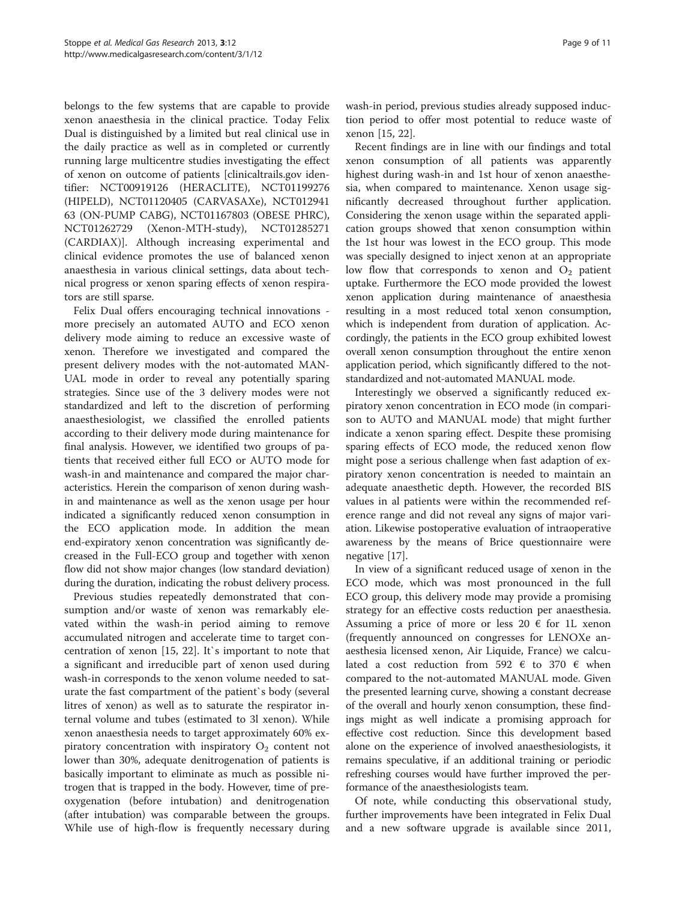belongs to the few systems that are capable to provide xenon anaesthesia in the clinical practice. Today Felix Dual is distinguished by a limited but real clinical use in the daily practice as well as in completed or currently running large multicentre studies investigating the effect of xenon on outcome of patients [clinicaltrails.gov identifier: NCT00919126 (HERACLITE), NCT01199276 (HIPELD), NCT01120405 (CARVASAXe), NCT012941 63 (ON-PUMP CABG), NCT01167803 (OBESE PHRC), NCT01262729 (Xenon-MTH-study), NCT01285271 (CARDIAX)]. Although increasing experimental and clinical evidence promotes the use of balanced xenon anaesthesia in various clinical settings, data about technical progress or xenon sparing effects of xenon respirators are still sparse.

Felix Dual offers encouraging technical innovations more precisely an automated AUTO and ECO xenon delivery mode aiming to reduce an excessive waste of xenon. Therefore we investigated and compared the present delivery modes with the not-automated MAN-UAL mode in order to reveal any potentially sparing strategies. Since use of the 3 delivery modes were not standardized and left to the discretion of performing anaesthesiologist, we classified the enrolled patients according to their delivery mode during maintenance for final analysis. However, we identified two groups of patients that received either full ECO or AUTO mode for wash-in and maintenance and compared the major characteristics. Herein the comparison of xenon during washin and maintenance as well as the xenon usage per hour indicated a significantly reduced xenon consumption in the ECO application mode. In addition the mean end-expiratory xenon concentration was significantly decreased in the Full-ECO group and together with xenon flow did not show major changes (low standard deviation) during the duration, indicating the robust delivery process.

Previous studies repeatedly demonstrated that consumption and/or waste of xenon was remarkably elevated within the wash-in period aiming to remove accumulated nitrogen and accelerate time to target concentration of xenon [\[15](#page-9-0), [22](#page-10-0)]. It`s important to note that a significant and irreducible part of xenon used during wash-in corresponds to the xenon volume needed to saturate the fast compartment of the patient`s body (several litres of xenon) as well as to saturate the respirator internal volume and tubes (estimated to 3l xenon). While xenon anaesthesia needs to target approximately 60% expiratory concentration with inspiratory  $O_2$  content not lower than 30%, adequate denitrogenation of patients is basically important to eliminate as much as possible nitrogen that is trapped in the body. However, time of preoxygenation (before intubation) and denitrogenation (after intubation) was comparable between the groups. While use of high-flow is frequently necessary during

wash-in period, previous studies already supposed induction period to offer most potential to reduce waste of xenon [[15,](#page-9-0) [22\]](#page-10-0).

Recent findings are in line with our findings and total xenon consumption of all patients was apparently highest during wash-in and 1st hour of xenon anaesthesia, when compared to maintenance. Xenon usage significantly decreased throughout further application. Considering the xenon usage within the separated application groups showed that xenon consumption within the 1st hour was lowest in the ECO group. This mode was specially designed to inject xenon at an appropriate low flow that corresponds to xenon and  $O<sub>2</sub>$  patient uptake. Furthermore the ECO mode provided the lowest xenon application during maintenance of anaesthesia resulting in a most reduced total xenon consumption, which is independent from duration of application. Accordingly, the patients in the ECO group exhibited lowest overall xenon consumption throughout the entire xenon application period, which significantly differed to the notstandardized and not-automated MANUAL mode.

Interestingly we observed a significantly reduced expiratory xenon concentration in ECO mode (in comparison to AUTO and MANUAL mode) that might further indicate a xenon sparing effect. Despite these promising sparing effects of ECO mode, the reduced xenon flow might pose a serious challenge when fast adaption of expiratory xenon concentration is needed to maintain an adequate anaesthetic depth. However, the recorded BIS values in al patients were within the recommended reference range and did not reveal any signs of major variation. Likewise postoperative evaluation of intraoperative awareness by the means of Brice questionnaire were negative [\[17](#page-9-0)].

In view of a significant reduced usage of xenon in the ECO mode, which was most pronounced in the full ECO group, this delivery mode may provide a promising strategy for an effective costs reduction per anaesthesia. Assuming a price of more or less 20  $\epsilon$  for 1L xenon (frequently announced on congresses for LENOXe anaesthesia licensed xenon, Air Liquide, France) we calculated a cost reduction from 592  $\epsilon$  to 370  $\epsilon$  when compared to the not-automated MANUAL mode. Given the presented learning curve, showing a constant decrease of the overall and hourly xenon consumption, these findings might as well indicate a promising approach for effective cost reduction. Since this development based alone on the experience of involved anaesthesiologists, it remains speculative, if an additional training or periodic refreshing courses would have further improved the performance of the anaesthesiologists team.

Of note, while conducting this observational study, further improvements have been integrated in Felix Dual and a new software upgrade is available since 2011,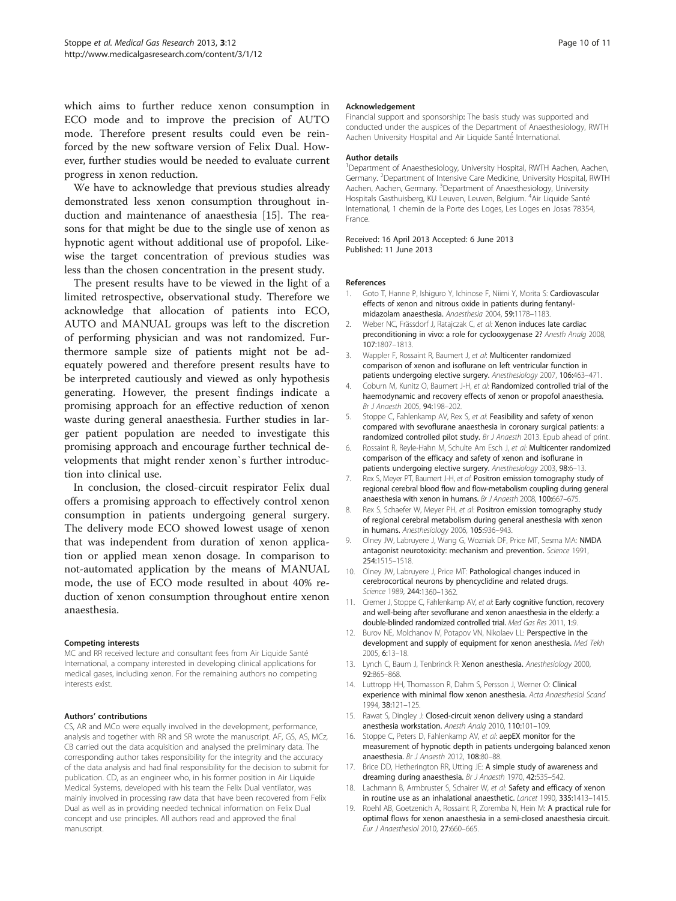<span id="page-9-0"></span>which aims to further reduce xenon consumption in ECO mode and to improve the precision of AUTO mode. Therefore present results could even be reinforced by the new software version of Felix Dual. However, further studies would be needed to evaluate current progress in xenon reduction.

We have to acknowledge that previous studies already demonstrated less xenon consumption throughout induction and maintenance of anaesthesia [15]. The reasons for that might be due to the single use of xenon as hypnotic agent without additional use of propofol. Likewise the target concentration of previous studies was less than the chosen concentration in the present study.

The present results have to be viewed in the light of a limited retrospective, observational study. Therefore we acknowledge that allocation of patients into ECO, AUTO and MANUAL groups was left to the discretion of performing physician and was not randomized. Furthermore sample size of patients might not be adequately powered and therefore present results have to be interpreted cautiously and viewed as only hypothesis generating. However, the present findings indicate a promising approach for an effective reduction of xenon waste during general anaesthesia. Further studies in larger patient population are needed to investigate this promising approach and encourage further technical developments that might render xenon`s further introduction into clinical use.

In conclusion, the closed-circuit respirator Felix dual offers a promising approach to effectively control xenon consumption in patients undergoing general surgery. The delivery mode ECO showed lowest usage of xenon that was independent from duration of xenon application or applied mean xenon dosage. In comparison to not-automated application by the means of MANUAL mode, the use of ECO mode resulted in about 40% reduction of xenon consumption throughout entire xenon anaesthesia.

#### Competing interests

MC and RR received lecture and consultant fees from Air Liquide Santé International, a company interested in developing clinical applications for medical gases, including xenon. For the remaining authors no competing interests exist.

#### Authors' contributions

CS, AR and MCo were equally involved in the development, performance, analysis and together with RR and SR wrote the manuscript. AF, GS, AS, MCz, CB carried out the data acquisition and analysed the preliminary data. The corresponding author takes responsibility for the integrity and the accuracy of the data analysis and had final responsibility for the decision to submit for publication. CD, as an engineer who, in his former position in Air Liquide Medical Systems, developed with his team the Felix Dual ventilator, was mainly involved in processing raw data that have been recovered from Felix Dual as well as in providing needed technical information on Felix Dual concept and use principles. All authors read and approved the final manuscript.

#### Acknowledgement

Financial support and sponsorship: The basis study was supported and conducted under the auspices of the Department of Anaesthesiology, RWTH Aachen University Hospital and Air Liquide Santé́ International.

#### Author details

<sup>1</sup>Department of Anaesthesiology, University Hospital, RWTH Aachen, Aachen, Germany. <sup>2</sup> Department of Intensive Care Medicine, University Hospital, RWTH Aachen, Aachen, Germany. <sup>3</sup>Department of Anaesthesiology, University Hospitals Gasthuisberg, KU Leuven, Leuven, Belgium. <sup>4</sup>Air Liquide Santé International, 1 chemin de la Porte des Loges, Les Loges en Josas 78354, France.

#### Received: 16 April 2013 Accepted: 6 June 2013 Published: 11 June 2013

#### References

- Goto T, Hanne P, Ishiguro Y, Ichinose F, Niimi Y, Morita S: Cardiovascular effects of xenon and nitrous oxide in patients during fentanylmidazolam anaesthesia. Anaesthesia 2004, 59:1178–1183.
- 2. Weber NC, Frässdorf J, Ratajczak C, et al: Xenon induces late cardiac preconditioning in vivo: a role for cyclooxygenase 2? Anesth Analg 2008, 107:1807–1813.
- 3. Wappler F, Rossaint R, Baumert J, et al: Multicenter randomized comparison of xenon and isoflurane on left ventricular function in patients undergoing elective surgery. Anesthesiology 2007, 106:463–471.
- 4. Coburn M, Kunitz O, Baumert J-H, et al: Randomized controlled trial of the haemodynamic and recovery effects of xenon or propofol anaesthesia. Br J Anaesth 2005, 94:198–202.
- 5. Stoppe C, Fahlenkamp AV, Rex S, et al: Feasibility and safety of xenon compared with sevoflurane anaesthesia in coronary surgical patients: a randomized controlled pilot study. Br J Anaesth 2013. Epub ahead of print.
- 6. Rossaint R, Reyle-Hahn M, Schulte Am Esch J, et al: Multicenter randomized comparison of the efficacy and safety of xenon and isoflurane in patients undergoing elective surgery. Anesthesiology 2003, 98:6-13.
- 7. Rex S, Meyer PT, Baumert J-H, et al: Positron emission tomography study of regional cerebral blood flow and flow-metabolism coupling during general anaesthesia with xenon in humans. Br J Anaesth 2008, 100:667–675.
- 8. Rex S, Schaefer W, Meyer PH, et al: Positron emission tomography study of regional cerebral metabolism during general anesthesia with xenon in humans. Anesthesiology 2006, 105:936–943.
- 9. Olney JW, Labruyere J, Wang G, Wozniak DF, Price MT, Sesma MA: NMDA antagonist neurotoxicity: mechanism and prevention. Science 1991, 254:1515–1518.
- 10. Olney JW, Labruyere J, Price MT: Pathological changes induced in cerebrocortical neurons by phencyclidine and related drugs. Science 1989, 244:1360–1362.
- 11. Cremer J, Stoppe C, Fahlenkamp AV, et al: Early cognitive function, recovery and well-being after sevoflurane and xenon anaesthesia in the elderly: a double-blinded randomized controlled trial. Med Gas Res 2011, 1:9.
- 12. Burov NE, Molchanov IV, Potapov VN, Nikolaev LL: Perspective in the development and supply of equipment for xenon anesthesia. Med Tekh 2005, 6:13–18.
- 13. Lynch C, Baum J, Tenbrinck R: Xenon anesthesia. Anesthesiology 2000, 92:865–868.
- 14. Luttropp HH, Thomasson R, Dahm S, Persson J, Werner O: Clinical experience with minimal flow xenon anesthesia. Acta Anaesthesiol Scand 1994, 38:121–125.
- 15. Rawat S, Dingley J: Closed-circuit xenon delivery using a standard anesthesia workstation. Anesth Analg 2010, 110:101–109.
- 16. Stoppe C, Peters D, Fahlenkamp AV, et al: aepEX monitor for the measurement of hypnotic depth in patients undergoing balanced xenon anaesthesia. Br J Anaesth 2012, 108:80–88.
- 17. Brice DD, Hetherington RR, Utting JE: A simple study of awareness and dreaming during anaesthesia. Br J Anaesth 1970, 42:535–542.
- 18. Lachmann B, Armbruster S, Schairer W, et al: Safety and efficacy of xenon in routine use as an inhalational anaesthetic. Lancet 1990, 335:1413–1415.
- 19. Roehl AB, Goetzenich A, Rossaint R, Zoremba N, Hein M: A practical rule for optimal flows for xenon anaesthesia in a semi-closed anaesthesia circuit. Eur J Anaesthesiol 2010, 27:660–665.